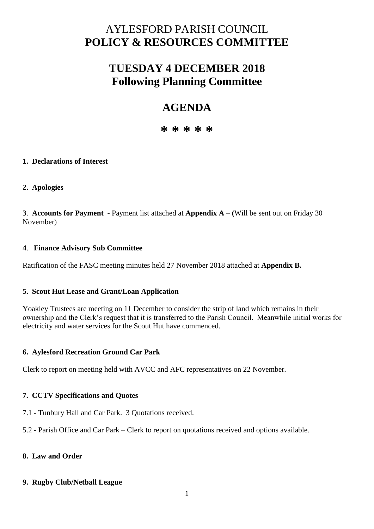# AYLESFORD PARISH COUNCIL **POLICY & RESOURCES COMMITTEE**

# **TUESDAY 4 DECEMBER 2018 Following Planning Committee**

# **AGENDA**

**\* \* \* \* \***

## **1. Declarations of Interest**

## **2. Apologies**

**3**. **Accounts for Payment -** Payment list attached at **Appendix A – (**Will be sent out on Friday 30 November)

## **4**. **Finance Advisory Sub Committee**

Ratification of the FASC meeting minutes held 27 November 2018 attached at **Appendix B.** 

## **5. Scout Hut Lease and Grant/Loan Application**

Yoakley Trustees are meeting on 11 December to consider the strip of land which remains in their ownership and the Clerk's request that it is transferred to the Parish Council. Meanwhile initial works for electricity and water services for the Scout Hut have commenced.

## **6. Aylesford Recreation Ground Car Park**

Clerk to report on meeting held with AVCC and AFC representatives on 22 November.

## **7. CCTV Specifications and Quotes**

7.1 - Tunbury Hall and Car Park. 3 Quotations received.

5.2 - Parish Office and Car Park – Clerk to report on quotations received and options available.

## **8. Law and Order**

## **9. Rugby Club/Netball League**